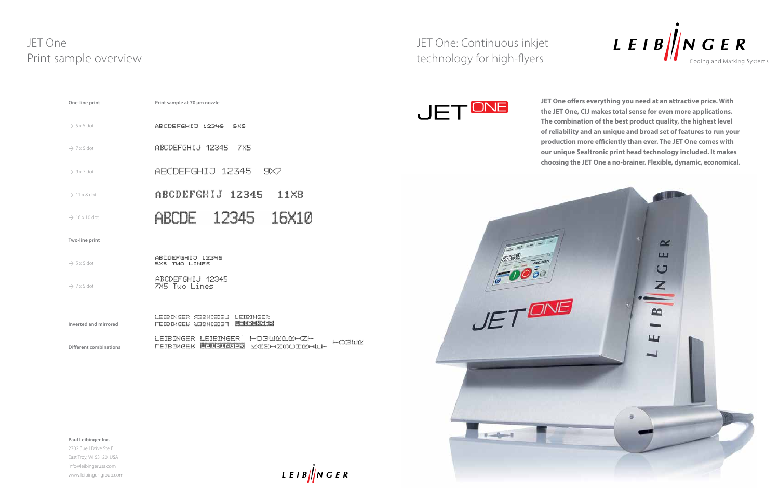JET One: Continuous inkjet technology for high-flyers





SXS TWO LINES

ABCDEFGHIJ 12345<br>7X5 Tuo Lines  $\rightarrow$  7 x 5 dot

**JET One offers everything you need at an attractive price. With the JET One, CIJ makes total sense for even more applications. The combination of the best product quality, the highest level of reliability and an unique and broad set of features to run your production more efficiently than ever. The JET One comes with our unique Sealtronic print head technology included. It makes choosing the JET One a no-brainer. Flexible, dynamic, economical.**

# JET One Print sample overview

| One-line print            | Print sample at 70 µm nozzle |  |  |  |
|---------------------------|------------------------------|--|--|--|
| $\rightarrow$ 5 x 5 dot   | ABCDEFGHIJ 12345<br>EXE      |  |  |  |
| $\rightarrow$ 7 x 5 dot   | ABCDEFGHIJ 12345<br>7X5      |  |  |  |
| $\rightarrow$ 9 x 7 dot   | ABCDEFGHIJ 12345<br>9X7      |  |  |  |
| $\rightarrow$ 11 x 8 dot  | ABCDEFGHIJ 12345<br>11X8     |  |  |  |
| $\rightarrow$ 16 x 10 dot | ABCDE 12345 16X10            |  |  |  |
| Two-line print            |                              |  |  |  |
|                           | ABCDEFGHIJ<br>12345          |  |  |  |

| Inverted and mirrored  | LEIBINGER ЯЗВИЗЗІЗ I LEIBINGER<br><b>CEIBIMGER SERNISIET UEFGEREEER</b> |                                          |       |
|------------------------|-------------------------------------------------------------------------|------------------------------------------|-------|
|                        |                                                                         | LETEINGER LEIBINGER HORUMOMHZH           | HOBWE |
| Different combinations |                                                                         | FEIBIMEEK <b>EEIGRIKEER</b> VÆEHZMOTNHUH |       |

**Paul Leibinger Inc.**

 $\rightarrow$  5 x 5 dot

2702 Buell Drive Ste B East Troy, WI 53120, USA info@leibingerusa.com www.leibinger-group.com

 $LEIB \big/ \big/ \big/ NGER$